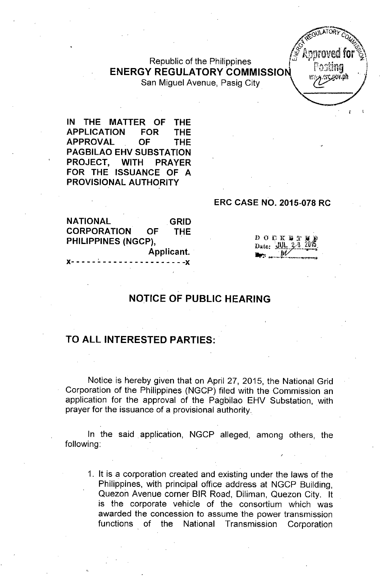Republic of the Philippines **ENERGY REGULATORY COMMISSIO**

San Miguel Avenue, Pasig City

**IN THE MATTER OF THE APPLICATION FOR THE APPROVAL OF THE PAGBILAO EHV SUBSTATION PROJECT, WITH PRAYER FOR THE ISSUANCE OF A PROVISIONAL AUTHORITY**

#### **ERC CASE NO. 2015-078 RC**

**GRID THE NATIONAL CORPORATION OF PHILIPPINES (NGCP), Applicant.**  $- - x$ 

**DOCKBTE** Date:  $JUL$   $3/3$ 

I'

# **NOTICE OF PUBLIC HEARING**

## **TO ALL INTERESTED PARTIES:**

Notice is hereby given that on April 27, 2015, the National Grid Corporation of the Philippines (NGCP) filed with the Commission an application for the approval of the Pagbilao EHV Substation, with prayer for the issuance of a provisional authority.

In the said application, NGCP alleged, among others, the following:

1. It is a corporation created and existing under the laws of the Philippines, with principal office address at NGCP Building, Quezon Avenue corner BIR Road, Diliman, Quezon City. It is the corporate vehicle of the consortium which was awarded the concession to assume the power transmission functions of the National Transmission Corporation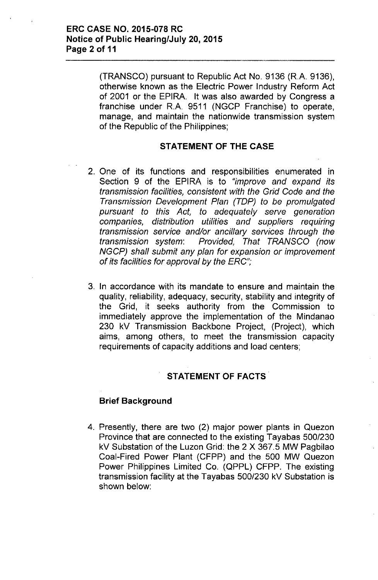(TRANSCO) pursuant to Republic Act No. 9136 (R.A. 9136), otherwise known as the Electric Power Industry Reform Act of 2001 or the EPIRA. It was also awarded by Congress a franchise under R.A. 9511 (NGCP Franchise) to operate, manage, and maintain the nationwide transmission system of the Republic of the Philippines;

#### **STATEMENT OF THE CASE**

- 2. One of its functions and responsibilities enumerated in Section 9 of the EPIRA is to *"improve and expand its transmission facilities, consistent with the Grid Code and the Transmission Development Plan (TOP) to be promulgated pursuant to this Act, to adequately serve generation companies, distribution utilities and suppliers requiring transmission service and/or ancillary services through the transmission system: Provided, That TRANSCO (now NGCP) shall submit any plan for expansion* or *improvement* of *its facilities for approval by the ERC";*
- 3. In accordance with its mandate to ensure and maintain the quality, reliability, adequacy, security, stability and integrity of the Grid, it seeks authority from the Commission to immediately approve the implementation of the Mindanao 230 kV Transmission Backbone Project, (Project), which aims, among others, to meet the transmission capacity requirements of capacity additions and load centers;

#### **STATEMENT OF FACTS'**

#### **Brief Background**

4. Presently, there are two (2) major power plants in Quezon Province that are connected to the existing Tayabas *500/230* kV Substation of the Luzon Grid: the 2 X 367.5 MW Pagbilao Coal-Fired Power Plant (CFPP) and the 500 MW Quezon Power Philippines limited Co. (QPPL) CFPP. The existing transmission facility at the Tayabas *500/230* kV Substation is shown below: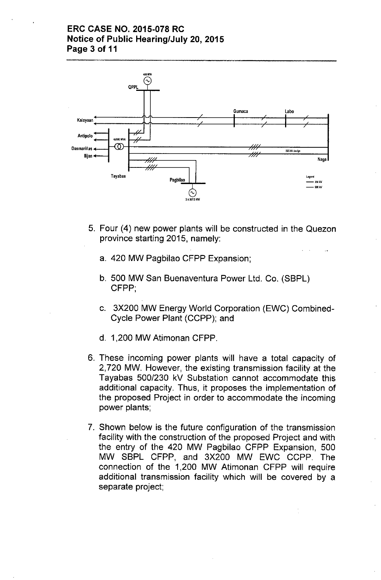## **ERC CASE NO. 2015-078 RC Notice of Public Hearing/July 20, 2015 Page 3 of 11**



- 5. Four (4) new power plants will be constructed in the Quezon province starting 2015, namely:
	- a. 420 MW Pagbilao CFPP Expansion;
	- b. 500 MW San Buenaventura Power Ltd. Co. (SBPL) CFPP;
	- c. 3X200 MW Energy World Corporation (EWC) Combined-Cycle Power Plant (CCPP); and
	- d. 1,200 MW Atimonan CFPP.
- 6. These incoming power plants will have a total capacity of 2,720 MW. However, the existing transmission facility at the Tayabas *500/230* kV Substation cannot accommodate this additional capacity. Thus, it proposes the implementation of the proposed Project in order to accommodate the incoming power plants;
- 7. Shown below is the future configuration of the transmission facility with the construction of the proposed Project and with the entry of the 420 MW Pagbilao CFPP Expansion, 500 MW SBPL CFPP, and 3X200 MW EWC CCPP. The connection of the 1,200 MW Atimonan CFPP will require additional transmission facility which will be covered by a separate project;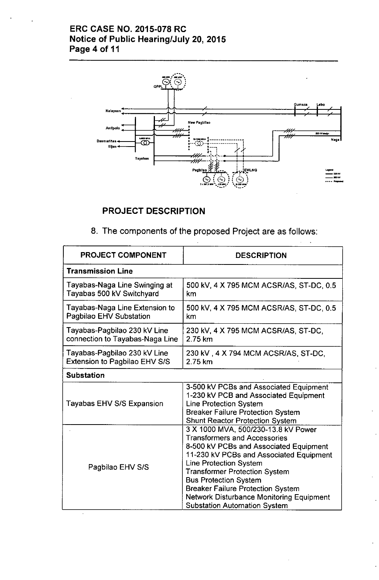# ERC CASE NO. 2015-078 RC Notice of Public Hearing/July 20,2015 Page 4 of 11



# PROJECT DESCRIPTION

|  |  | 8. The components of the proposed Project are as follows: |  |  |  |  |  |
|--|--|-----------------------------------------------------------|--|--|--|--|--|
|--|--|-----------------------------------------------------------|--|--|--|--|--|

| <b>PROJECT COMPONENT</b>                                        | <b>DESCRIPTION</b>                                                                                                                                                                                                                                                                                                                                                                                             |
|-----------------------------------------------------------------|----------------------------------------------------------------------------------------------------------------------------------------------------------------------------------------------------------------------------------------------------------------------------------------------------------------------------------------------------------------------------------------------------------------|
| <b>Transmission Line</b>                                        |                                                                                                                                                                                                                                                                                                                                                                                                                |
| Tayabas-Naga Line Swinging at<br>Tayabas 500 kV Switchyard      | 500 kV, 4 X 795 MCM ACSR/AS, ST-DC, 0.5<br>km                                                                                                                                                                                                                                                                                                                                                                  |
| Tayabas-Naga Line Extension to<br>Pagbilao EHV Substation       | 500 kV, 4 X 795 MCM ACSR/AS, ST-DC, 0.5<br>km                                                                                                                                                                                                                                                                                                                                                                  |
| Tayabas-Pagbilao 230 kV Line<br>connection to Tayabas-Naga Line | 230 kV, 4 X 795 MCM ACSR/AS, ST-DC,<br>2.75 km                                                                                                                                                                                                                                                                                                                                                                 |
| Tayabas-Pagbilao 230 kV Line<br>Extension to Pagbilao EHV S/S   | 230 kV, 4 X 794 MCM ACSR/AS, ST-DC,<br>2.75 km                                                                                                                                                                                                                                                                                                                                                                 |
| <b>Substation</b>                                               |                                                                                                                                                                                                                                                                                                                                                                                                                |
| Tayabas EHV S/S Expansion                                       | 3-500 kV PCBs and Associated Equipment<br>1-230 kV PCB and Associated Equipment<br><b>Line Protection System</b><br><b>Breaker Failure Protection System</b><br><b>Shunt Reactor Protection System</b>                                                                                                                                                                                                         |
| Pagbilao EHV S/S                                                | 3 X 1000 MVA, 500/230-13.8 kV Power<br><b>Transformers and Accessories</b><br>8-500 kV PCBs and Associated Equipment<br>11-230 kV PCBs and Associated Equipment<br><b>Line Protection System</b><br><b>Transformer Protection System</b><br><b>Bus Protection System</b><br><b>Breaker Failure Protection System</b><br><b>Network Disturbance Monitoring Equipment</b><br><b>Substation Automation System</b> |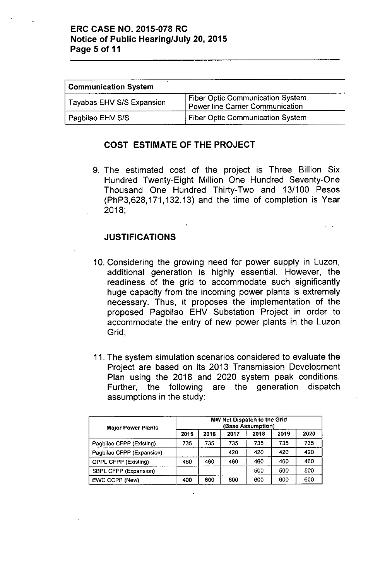#### ERC CASE NO. 2015-078 RC Notice of Public Hearing/July 20,2015 Page 5 of 11

| <b>Communication System</b>      |                                                                                    |  |  |  |  |  |  |
|----------------------------------|------------------------------------------------------------------------------------|--|--|--|--|--|--|
| <b>Tayabas EHV S/S Expansion</b> | <b>Fiber Optic Communication System</b><br><b>Power line Carrier Communication</b> |  |  |  |  |  |  |
| Pagbilao EHV S/S                 | <b>Fiber Optic Communication System</b>                                            |  |  |  |  |  |  |

#### COST ESTIMATE OF THE PROJECT

9. The estimated cost of the project is Three Billion Six Hundred Twenty-Eight Million One Hundred Seventy-One Thousand One Hundred Thirty-Two and 13/100 Pesos (PhP3,628, 171,132.13) and the time of completion is Year 2018;

## JUSTIFICATIONS

- 10. Considering the growing need for power supply in Luzon, additional generation is highly essential. However, the readiness of the grid to accommodate such significantly huge capacity from the incoming power plants is extremely necessary. Thus, it proposes the implementation of the proposed Pagbilao EHV Substation Project in order to accommodate the entry of new power plants in the Luzon Grid;
- 11. The system simulation scenarios considered to evaluate the Project are based on its 2013 Transmission Development Plan using the 2018 and 2020 system peak conditions. Further, the following are the generation dispatch assumptions in the study:

| <b>Major Power Plants</b>   | MW Net Dispatch to the Grid<br><b>Base Assumption)</b> |      |      |      |      |      |  |  |  |  |
|-----------------------------|--------------------------------------------------------|------|------|------|------|------|--|--|--|--|
|                             | 2015                                                   | 2016 | 2017 | 2018 | 2019 | 2020 |  |  |  |  |
| Pagbilao CFPP (Existing)    | 735                                                    | 735  | 735  | 735  | 735  | 735  |  |  |  |  |
| Pagbilao CFPP (Expansion)   |                                                        |      | 420  | 420  | 420  | 420  |  |  |  |  |
| <b>QPPL CFPP (Existing)</b> | 460                                                    | 460  | 460  | 460  | 460  | 460  |  |  |  |  |
| SBPL CFPP (Expansion)       |                                                        |      |      | 500  | 500  | 500  |  |  |  |  |
| EWC CCPP (New)              | 400                                                    | 600  | 600  | 600  | 600  | 600  |  |  |  |  |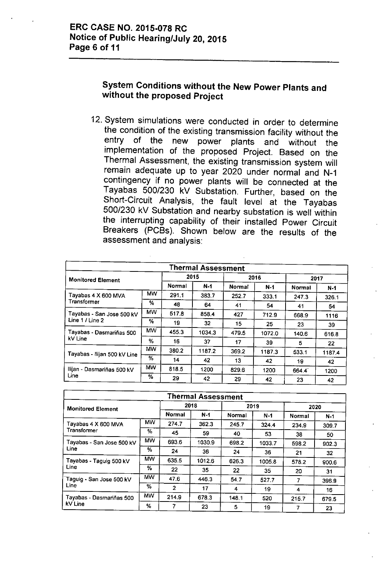# **System Conditions without the New Power Plants and without the proposed Project**

12. System simulations were conducted in order to determine the condition of the existing transmission facility without the entry of the new power plants and without the plants and without the implementation of the proposed Project. Based on the Thermal Assessment, the existing transmission system will remain adequate up to year 2020 under normal and N-1 contingency if no power plants will be connected at the Tayabas 500/230 kV Substation. Further, based on the Short-Circuit Analysis, the fault level at the Tayabas 500/230 kV Substation and nearby substation is well within the interrupting capability of their installed Power Circuit Breakers (PCBs). Shown below are the results of the assessment and analysis:

| <b>Thermal Assessment</b>    |           |        |        |        |        |               |       |  |  |  |
|------------------------------|-----------|--------|--------|--------|--------|---------------|-------|--|--|--|
| <b>Monitored Element</b>     |           | 2015   |        |        | 2016   | 2017          |       |  |  |  |
|                              |           | Normal | $N-1$  | Normal | $N-1$  | <b>Normal</b> | $N-1$ |  |  |  |
| Tayabas 4 X 600 MVA          | <b>MW</b> | 291.1  | 383.7  | 252.7  | 333.1  | 247.3         | 326.1 |  |  |  |
| Transformer                  | %         | 48     | 64     | 41     | 54     | 41            | 54    |  |  |  |
| Tayabas - San Jose 500 kV    | <b>MW</b> | 517.8  | 858.4  | 427    | 712.9  | 668.9         | 1116  |  |  |  |
| Line 1 / Line 2              | %         | 19     | 32     | 15     | 25     | 23            | 39    |  |  |  |
| Tayabas - Dasmariñas 500     | <b>MW</b> | 455.3  | 1034.3 | 479.5  | 1072.0 | 140.6         | 616.8 |  |  |  |
| kV Line                      | %         | 16     | 37     | 17     | 39     | 5             | 22    |  |  |  |
| Tayabas - Ilijan 500 kV Line | <b>MW</b> | 380.2  | 1187.2 | 369.2  | 1187.3 | 533.1         | 11874 |  |  |  |
|                              | %         | 14     | 42     | 13     | 42     | 19            | 42    |  |  |  |
| Ilijan - Dasmariñas 500 kV   | <b>MW</b> | 818.5  | 1200   | 829.6  | 1200   | 664.4         | 1200  |  |  |  |
| Line                         | %         | 29     | 42     | 29     | 42     | 23            | 42    |  |  |  |

| <b>Thermal Assessment</b>          |           |                |        |        |        |        |       |  |  |  |  |
|------------------------------------|-----------|----------------|--------|--------|--------|--------|-------|--|--|--|--|
| <b>Monitored Element</b>           |           | 2018           |        |        | 2019   | 2020   |       |  |  |  |  |
|                                    |           | Normal         | $N-1$  | Normal | $N-1$  | Normal | $N-1$ |  |  |  |  |
| Tayabas 4 X 600 MVA<br>Transformer | <b>MW</b> | 274.7          | 362.3  | 245.7  | 324.4  | 234.9  | 309.7 |  |  |  |  |
|                                    | %         | 45             | 59     | 40     | 53     | 38     | 50    |  |  |  |  |
| Tayabas - San Jose 500 kV          | <b>MW</b> | 693.6          | 1030.9 | 698.2  | 1033.7 | 598.2  | 902.3 |  |  |  |  |
| Line                               | %         | 24             | 36     | 24     | 36     | 21     | 32    |  |  |  |  |
| Tayabas - Taguig 500 kV            | MW.       | 635.5          | 1012.6 | 626.3  | 1005.8 | 578.2  | 900.6 |  |  |  |  |
| Line                               | $\%$      | 22             | 35     | 22     | 35     | 20     | 31    |  |  |  |  |
| Taguig - San Jose 500 kV           | <b>MW</b> | 47.6           | 446.3  | 54.7   | 527.7  | 7      | 396.9 |  |  |  |  |
| Line                               | ℅         | $\overline{2}$ | 17     | 4      | 19     | 4      | 16    |  |  |  |  |
| Tayabas - Dasmariñas 500           | <b>MW</b> | 214.9          | 678.3  | 148.1  | 520    | 215.7  | 679.5 |  |  |  |  |
| kV Line                            | %         |                | 23     | 5      | 19     | 7      | 23    |  |  |  |  |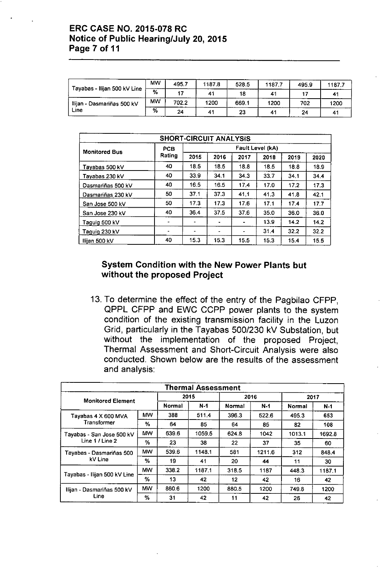#### ERC CASE NO. 2015-078 RC Notice of Public Hearing/July 20,2015 Page 7 of 11

|                              | <b>MW</b> | 495.7 | 11878 | 528.5 | 1877 | 495.9 | 1187.7 |
|------------------------------|-----------|-------|-------|-------|------|-------|--------|
| Tayabas - Ilijan 500 kV Line | $\%$      |       | 41    | 18    | 41   |       |        |
| Ilijan - Dasmariñas 500 kV   | <b>MW</b> | 702.2 | 1200  | 669.1 | 1200 | 702   | 1200   |
| Line                         | ℅         | 24    |       | 23    | 41   | 24    |        |

| <b>SHORT-CIRCUIT ANALYSIS</b> |                |                  |      |                |      |      |      |  |  |  |  |
|-------------------------------|----------------|------------------|------|----------------|------|------|------|--|--|--|--|
| <b>Monitored Bus</b>          | <b>PCB</b>     | Fault Level (kA) |      |                |      |      |      |  |  |  |  |
|                               | Rating         | 2015             | 2016 | 2017           | 2018 | 2019 | 2020 |  |  |  |  |
| Tavabas 500 kV                | 40             | 18.5             | 18.5 | 18.8           | 18.5 | 18.8 | 18.9 |  |  |  |  |
| Tayabas 230 kV                | 40             | 33.9             | 34.1 | 34.3           | 33.7 | 34.1 | 34.4 |  |  |  |  |
| Dasmariñas 500 kV             | 40             | 16.5             | 16.5 | 17.4           | 17.0 | 17.2 | 17.3 |  |  |  |  |
| Dasmariñas 230 kV             | 50             | 37.1             | 37.3 | 41.1           | 41.3 | 41.8 | 42.1 |  |  |  |  |
| San Jose 500 kV               | 50             | 17.3             | 173  | 17.6           | 17.1 | 17.4 | 17.7 |  |  |  |  |
| San Jose 230 kV               | 40             | 36.4             | 37.5 | 37.6           | 35.0 | 36.0 | 36.0 |  |  |  |  |
| Taguig 500 kV                 | $\bullet$      | ۰                | ٠    |                | 13.9 | 14.2 | 14.2 |  |  |  |  |
| Taguig 230 kV                 | $\blacksquare$ | -                |      | $\blacksquare$ | 31.4 | 32.2 | 32.2 |  |  |  |  |
| Ilijan 500 kV                 | 40             | 15.3             | 15.3 | 15.5           | 15.3 | 15.4 | 15.5 |  |  |  |  |

## System Condition with the New Power Plants but without the proposed Project

13. To determine the *effect* of the entry of the Pagbilao CFPP, QPPl CFPP and EWC CCPP power plants to the system condition of the existing transmission facility in the luzon Grid, particularly in the Tayabas 500/230 kV Substation, but without the implementation of the proposed Project, Thermal Assessment and Short-Circuit Analysis were also conducted. Shown below are the results of the assessment and analysis:

| Thermal Assessment                           |           |        |        |                   |        |        |        |  |  |  |
|----------------------------------------------|-----------|--------|--------|-------------------|--------|--------|--------|--|--|--|
| <b>Monitored Element</b>                     |           | 2015   |        |                   | 2016   | 2017   |        |  |  |  |
|                                              |           | Normal | $N-1$  | Normal            | $N-1$  | Normal | $N-1$  |  |  |  |
| Tayabas 4 X 600 MVA                          | МW        | 388    | 511.4  | 396.3             | 522.6  | 495.3  | 653    |  |  |  |
| Transformer                                  | %         | 64     | 85     | 64                | 85     | 82     | 108    |  |  |  |
| Tayabas - San Jose 500 kV<br>Line 1 / Line 2 | <b>MW</b> | 639.6  | 1059.5 | 624.8             | 1042   | 1013.1 | 1692.8 |  |  |  |
|                                              | %         | 23     | 38     | 22                | 37     | 35     | 60     |  |  |  |
| Tayabas - Dasmariñas 500                     | <b>MW</b> | 539.6  | 1148.1 | 581               | 1211.6 | 312    | 848.4  |  |  |  |
| kV Line                                      | %         | 19     | 41     | 20                | 44     | 11     | 30     |  |  |  |
| Tayabas - Ilijan 500 kV Line                 | <b>MW</b> | 338.2  | 1187.1 | 318.5             | 1187   | 448.3  | 1187.1 |  |  |  |
|                                              | %         | 13     | 42     | $12 \overline{ }$ | 42     | 16     | 42     |  |  |  |
| Ilijan - Dasmariñas 500 kV                   | <b>MW</b> | 860.6  | 1200   | 880.5             | 1200   | 749.8  | 1200   |  |  |  |
| Line                                         | %         | 31     | 42     | 11                | 42     | 26     | 42     |  |  |  |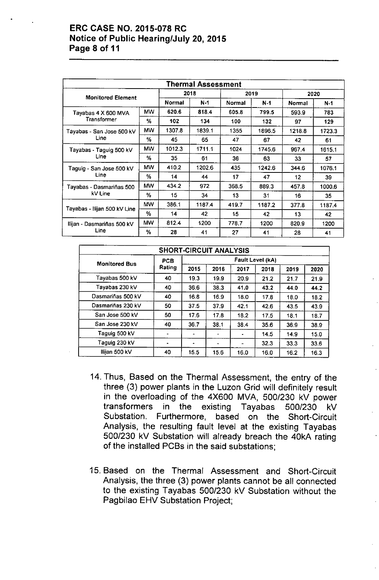#### ERC CASE NO. 2015-078 RC Notice of Public Hearing/July 20,2015 Page 8 of 11

| <b>Thermal Assessment</b>    |           |               |        |        |        |        |        |  |  |  |
|------------------------------|-----------|---------------|--------|--------|--------|--------|--------|--|--|--|
| <b>Monitored Element</b>     |           |               | 2018   |        | 2019   | 2020   |        |  |  |  |
|                              |           | <b>Normal</b> | $N-1$  | Normal | $N-1$  | Normal | $N-1$  |  |  |  |
| Tayabas 4 X 600 MVA          | <b>MW</b> | 620.6         | 818.4  | 605.8  | 799.5  | 593.9  | 783    |  |  |  |
| Transformer                  | %         | 102           | 134    | 100    | 132    | 97     | 129    |  |  |  |
| Tayabas - San Jose 500 kV    | <b>MW</b> | 1307.8        | 1839.1 | 1355   | 1896.5 | 1218.8 | 1723.3 |  |  |  |
| Line                         | %         | 45            | 65     | 47     | 67     | 42     | 61     |  |  |  |
| Tayabas - Taguig 500 kV      | <b>MW</b> | 1012.3        | 1711.1 | 1024   | 1745.6 | 967.4  | 1615.1 |  |  |  |
| Line                         | %         | 35            | 61     | 36     | 63     | 33     | 57     |  |  |  |
| Taguig - San Jose 500 kV     | <b>MW</b> | 410.2         | 1202.6 | 435    | 1242.6 | 344.6  | 1076.1 |  |  |  |
| Line                         | %         | 14            | 44     | 17     | 47     | 12     | 39     |  |  |  |
| Tayabas - Dasmariñas 500     | <b>MW</b> | 434.2         | 972    | 368.5  | 889.3  | 457.8  | 1000.6 |  |  |  |
| kV Line                      | %         | 15            | 34     | 13     | 31     | 16     | 35     |  |  |  |
|                              | <b>MW</b> | 386.1         | 1187.4 | 419.7  | 1187.2 | 377.8  | 1187.4 |  |  |  |
| Tayabas - Ilijan 500 kV Line | $\%$      | 14            | 42     | 15     | 42     | 13     | 42     |  |  |  |
| Ilijan - Dasmariñas 500 kV   | <b>MW</b> | 812.4         | 1200   | 778.7  | 1200   | 820.9  | 1200   |  |  |  |
| Line                         | %         | 28            | 41     | 27     | 41     | 28     | 41     |  |  |  |

| <b>SHORT-CIRCUIT ANALYSIS</b> |            |                         |      |      |      |      |      |  |  |  |  |
|-------------------------------|------------|-------------------------|------|------|------|------|------|--|--|--|--|
| <b>Monitored Bus</b>          | <b>PCB</b> | <b>Fault Level (kA)</b> |      |      |      |      |      |  |  |  |  |
|                               | Rating     | 2015                    | 2016 | 2017 | 2018 | 2019 | 2020 |  |  |  |  |
| Tayabas 500 kV                | 40         | 19.3                    | 19.9 | 20.9 | 21.2 | 21.7 | 21.9 |  |  |  |  |
| Tayabas 230 kV                | 40         | 36.6                    | 38.3 | 41.0 | 43.2 | 44.0 | 44.2 |  |  |  |  |
| Dasmariñas 500 kV             | 40         | 16.8                    | 16.9 | 18.0 | 17.8 | 18.0 | 18.2 |  |  |  |  |
| Dasmariñas 230 kV             | 50         | 37.5                    | 37.9 | 42.1 | 42.6 | 43.5 | 43.9 |  |  |  |  |
| San Jose 500 kV               | 50         | 17.6                    | 17.8 | 18.2 | 17.5 | 18.1 | 18.7 |  |  |  |  |
| San Jose 230 kV               | 40         | 36.7                    | 38.1 | 38.4 | 35.6 | 36.9 | 38.9 |  |  |  |  |
| Taguig 500 kV                 |            |                         |      |      | 14.5 | 14.9 | 15.0 |  |  |  |  |
| Taguig 230 kV                 |            | $\bullet$               |      |      | 32.3 | 33.3 | 33.6 |  |  |  |  |
| Ilijan 500 kV                 | 40         | 15.5                    | 15.6 | 16.0 | 16.0 | 16.2 | 16.3 |  |  |  |  |

- 14. Thus, Based on the Thermal Assessment, the entry of the three (3) power plants in the Luzon Grid will definitely result in the overloading of the 4X600 MVA, 500/230 kV power transformers in the existing Tayabas 500/230 kV Substation. Furthermore, based on the Short-Circuit Analysis, the resulting fault level at the existing Tayabas 500/230 kV Substation will already breach the 40kA rating of the installed PCBs in the said substations;
- 15. Based on the Thermal Assessment and Short-Circuit Analysis, the three (3) power plants cannot be all connected to the existing Tayabas 500/230 kV Substation without the Pagbilao EHV Substation Project;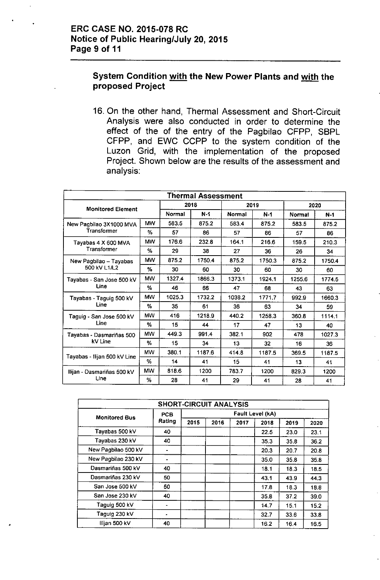#### System Condition with the New Power Plants and with the proposed Project

16. On the other hand, Thermal Assessment and Short-Circuit Analysis were also conducted in order to determine the *effect* of the of the entry of the Pagbilao CFPP, SBPL CFPP, and EWC CCPP to the system condition of the Luzon Grid, with the implementation of the proposed Project. Shown below are the results of the assessment and analysis:

| <b>Thermal Assessment</b>    |           |        |        |        |        |        |        |  |  |  |
|------------------------------|-----------|--------|--------|--------|--------|--------|--------|--|--|--|
| <b>Monitored Element</b>     |           |        | 2018   | 2019   |        | 2020   |        |  |  |  |
|                              |           | Normal | $N-1$  | Normal | $N-1$  | Normal | $N-1$  |  |  |  |
| New Pagbilao 3X1000 MVA      | <b>MW</b> | 583.5  | 875.2  | 583.4  | 875.2  | 583.5  | 875.2  |  |  |  |
| <b>Transformer</b>           | %         | 57     | 86     | 57     | 86     | 57     | 86     |  |  |  |
| Tayabas 4 X 600 MVA          | <b>MW</b> | 176.6  | 232.8  | 164.1  | 216.6  | 159.5  | 210.3  |  |  |  |
| Transformer                  | %         | 29     | 38     | 27     | 36     | 26     | 34     |  |  |  |
| New Pagbilao - Tayabas       | <b>MW</b> | 875.2  | 1750.4 | 875.2  | 1750.3 | 875.2  | 1750.4 |  |  |  |
| 500 KV L1/L2                 | %         | 30     | 60     | 30     | 60     | 30     | 60     |  |  |  |
| Tayabas - San Jose 500 kV    | <b>MW</b> | 1327.4 | 1866.3 | 1373.1 | 1924.1 | 1255.6 | 1774.5 |  |  |  |
| Line                         | %         | 46     | 66     | 47     | 68     | 43     | 63     |  |  |  |
| Tayabas - Taguig 500 kV      | <b>MW</b> | 1025.3 | 1732.2 | 1038.2 | 1771.7 | 992.9  | 1660.3 |  |  |  |
| Line                         | %         | 35     | 61     | 36     | 63     | 34     | 59     |  |  |  |
| Taguig - San Jose 500 kV     | <b>MW</b> | 416    | 1218.9 | 440.2  | 1258.3 | 360.8  | 1114.1 |  |  |  |
| Line                         | $\%$      | 15     | 44     | 17     | 47     | 13     | 40     |  |  |  |
| Tayabas - Dasmariñas 500     | <b>MW</b> | 449.3  | 991.4  | 382.1  | 902    | 478    | 1027.3 |  |  |  |
| kV Line                      | %         | 15     | 34     | 13     | 32     | 16     | 36     |  |  |  |
| Tayabas - Ilijan 500 kV Line | <b>MW</b> | 380.1  | 1187.6 | 414.8  | 1187.5 | 369.5  | 1187.5 |  |  |  |
|                              | %         | 14     | 41     | 15     | 41     | 13     | 41     |  |  |  |
| Ilijan - Dasmariñas 500 kV   | <b>MW</b> | 818.6  | 1200   | 783.7  | 1200   | 829.3  | 1200   |  |  |  |
| Line                         | %         | 28     | 41     | 29     | 41     | 28     | 41     |  |  |  |

| <b>SHORT-CIRCUIT ANALYSIS</b> |                      |                  |      |      |      |      |      |
|-------------------------------|----------------------|------------------|------|------|------|------|------|
| <b>Monitored Bus</b>          | <b>PCB</b><br>Rating | Fault Level (kA) |      |      |      |      |      |
|                               |                      | 2015             | 2016 | 2017 | 2018 | 2019 | 2020 |
| Tayabas 500 kV                | 40                   |                  |      |      | 22.5 | 23.0 | 23.1 |
| Tayabas 230 kV                | 40                   |                  |      |      | 35.3 | 35.8 | 36.2 |
| New Pagbilao 500 kV           |                      |                  |      |      | 20.3 | 20.7 | 20.8 |
| New Pagbilao 230 kV           | ۰                    |                  |      |      | 35.0 | 35.8 | 35.8 |
| Dasmariñas 500 kV             | 40                   |                  |      |      | 18.1 | 18.3 | 18.5 |
| Dasmariñas 230 kV             | 50                   |                  |      |      | 43.1 | 43.9 | 44.3 |
| San Jose 500 kV               | 50                   |                  |      |      | 17.8 | 18.3 | 18.8 |
| San Jose 230 kV               | 40                   |                  |      |      | 35.8 | 37.2 | 39.0 |
| Taguig 500 kV                 |                      |                  |      |      | 14.7 | 15.1 | 15.2 |
| Taguig 230 kV                 | $\blacksquare$       |                  |      |      | 32.7 | 33.6 | 33.8 |
| Ilijan 500 kV                 | 40                   |                  |      |      | 16.2 | 16.4 | 16.5 |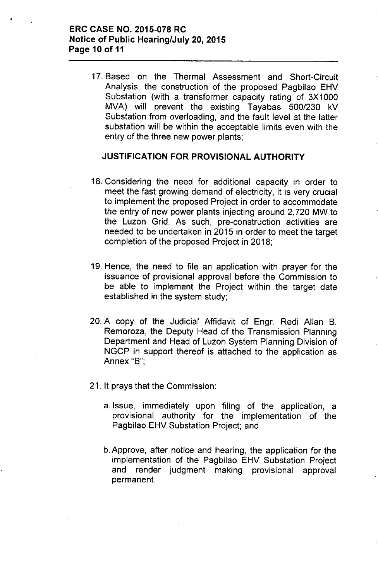#### **ERC CASE NO. 2015-078 RC Notice of Public Hearing/July 20, 2015 Page 10 of 11**

17. Based on the Thermal Assessment and Short-Circuit Analysis, the construction of the proposed Pagbilao EHV Substation (with a transformer capacity rating of 3X1000 MVA) will prevent the existing Tayabas 500/230 kV Substation from overloading, and the fault level at the latter substation will be within the acceptable limits even with the entry of the three new power plants;

#### **JUSTIFICATION FOR PROVISIONAL AUTHORITY**

- 18. Considering the need for additional capacity in order to meet the fast growing demand of electricity, it is very crucial to implement the proposed Project in order to accommodate the entry of new power plants injecting around 2,720 MW to the Luzon Grid. As such, pre-construction activities are needed to be undertaken in 2015 in order to meet the target completion of the proposed Project in 2018;
- 19. Hence, the need to file an application with prayer for the issuance of provisional approval before the Commission to be able to implement the Project within the target date established in the system study;
- 20. A copy of the Judicial Affidavit of Engr. Redi Allan B. Remoroza, the Deputy Head of the Transmission Planning Department and Head of Luzon System Planning Division of NGCP in support thereof is attached to the application as Annex "B'",
- 21. It prays that the Commission:
	- a.lssue, immediately upon filing of the application, a provisional authority for the implementation of the Pagbilao EHV Substation Project; and
	- b.Approve, after notice and hearing, the application for the implementation of the Pagbilao EHV Substation Project and render judgment making provisional approval permanent.